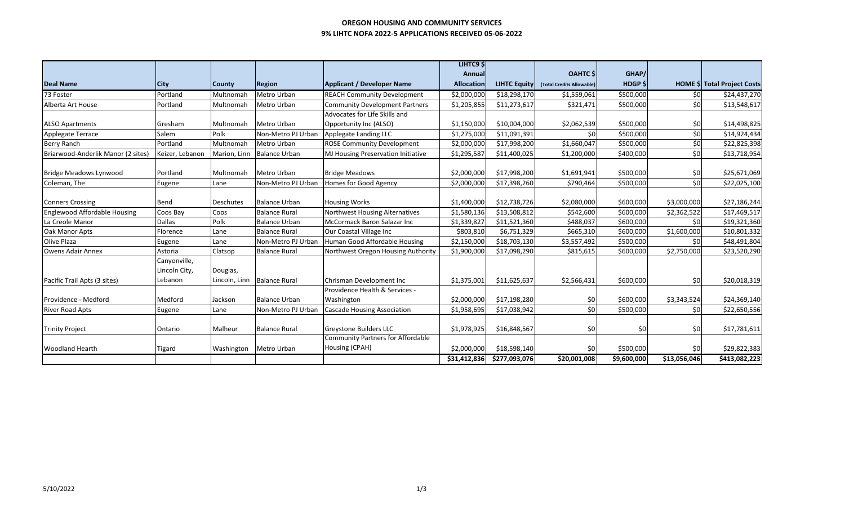## **OREGON HOUSING AND COMMUNITY SERVICES 9% LIHTC NOFA 2022-5 APPLICATIONS RECEIVED 05-06-2022**

|                                     |                 |               |                      |                                                                                   | LIHTC9 \$         |                     |                           |                |              |                                    |  |
|-------------------------------------|-----------------|---------------|----------------------|-----------------------------------------------------------------------------------|-------------------|---------------------|---------------------------|----------------|--------------|------------------------------------|--|
|                                     |                 |               |                      |                                                                                   | Annual            |                     | <b>OAHTC</b> \$           | GHAP/          |              |                                    |  |
| <b>Deal Name</b>                    | <b>City</b>     | <b>County</b> | <b>Region</b>        | <b>Applicant / Developer Name</b>                                                 | <b>Allocation</b> | <b>LIHTC Equity</b> | (Total Credits Allowable) | <b>HDGP \$</b> |              | <b>HOME \$ Total Project Costs</b> |  |
| 73 Foster                           | Portland        | Multnomah     | Metro Urban          | <b>REACH Community Development</b>                                                | \$2,000,000       | \$18,298,170        | \$1,559,061               | \$500,000      | \$0          | \$24,437,270                       |  |
| Alberta Art House                   | Portland        | Multnomah     | Metro Urban          | <b>Community Development Partners</b><br>\$11,273,617<br>\$1,205,855<br>\$321,471 |                   |                     | \$500,000                 | \$0            | \$13,548,617 |                                    |  |
|                                     |                 |               |                      | Advocates for Life Skills and                                                     |                   |                     |                           |                |              |                                    |  |
| <b>ALSO Apartments</b>              | Gresham         | Multnomah     | Metro Urban          | Opportunity Inc (ALSO)                                                            | \$1,150,000       | \$10,004,000        | \$2,062,539               | \$500,000      | \$0          | \$14,498,825                       |  |
| Applegate Terrace                   | Salem           | Polk          | Non-Metro PJ Urban   | Applegate Landing LLC                                                             | \$1,275,000       | \$11,091,391        | \$0                       | \$500,000      | \$0          | \$14,924,434                       |  |
| <b>Berry Ranch</b>                  | Portland        | Multnomah     | Metro Urban          | <b>ROSE Community Development</b>                                                 | \$2,000,000       | \$17,998,200        | \$1,660,047               | \$500,000      | \$0          | \$22,825,398                       |  |
| Briarwood-Anderlik Manor (2 sites)  | Keizer, Lebanon | Marion, Linn  | <b>Balance Urban</b> | MJ Housing Preservation Initiative                                                | \$1,295,587       | \$11,400,025        | \$1,200,000               | \$400,000      | \$0          | \$13,718,954                       |  |
| <b>Bridge Meadows Lynwood</b>       | Portland        | Multnomah     | Metro Urban          | <b>Bridge Meadows</b>                                                             | \$2,000,000       | \$17,998,200        | \$1,691,941               | \$500,000      | \$0          | \$25,671,069                       |  |
| Coleman, The                        | Eugene          | Lane          | Non-Metro PJ Urban   | Homes for Good Agency                                                             | \$2,000,000       | \$17,398,260        | \$790,464                 | \$500,000      | \$0          | \$22,025,100                       |  |
|                                     |                 |               |                      |                                                                                   |                   |                     |                           |                |              |                                    |  |
| <b>Conners Crossing</b>             | Bend            | Deschutes     | <b>Balance Urban</b> | <b>Housing Works</b>                                                              | \$1,400,000       | \$12,738,726        | \$2,080,000               | \$600,000      | \$3,000,000  | \$27,186,244                       |  |
| <b>Englewood Affordable Housing</b> | Coos Bay        | Coos          | <b>Balance Rural</b> | Northwest Housing Alternatives                                                    | \$1,580,136       | \$13,508,812        | \$542,600                 | \$600,000      | \$2,362,522  | \$17,469,517                       |  |
| La Creole Manor                     | <b>Dallas</b>   | Polk          | <b>Balance Urban</b> | McCormack Baron Salazar Inc                                                       | \$1,339,827       | \$11,521,360        | \$488,037                 | \$600,000      | \$0          | \$19,321,360                       |  |
| Oak Manor Apts                      | Florence        | Lane          | <b>Balance Rural</b> | Our Coastal Village Inc                                                           | \$803,810         | \$6,751,329         | \$665,310                 | \$600,000      | \$1,600,000  | \$10,801,332                       |  |
| Olive Plaza                         | Eugene          | Lane          | Non-Metro PJ Urban   | Human Good Affordable Housing                                                     | \$2,150,000       | \$18,703,130        | \$3,557,492               | \$500,000      | \$0          | \$48,491,804                       |  |
| <b>Owens Adair Annex</b>            | Astoria         | Clatsop       | <b>Balance Rural</b> | Northwest Oregon Housing Authority                                                | \$1,900,000       | \$17,098,290        | \$815,615                 | \$600,000      | \$2,750,000  | \$23,520,290                       |  |
|                                     | Canyonville,    |               |                      |                                                                                   |                   |                     |                           |                |              |                                    |  |
|                                     | Lincoln City,   | Douglas,      |                      |                                                                                   |                   |                     |                           |                |              |                                    |  |
| Pacific Trail Apts (3 sites)        | Lebanon         | Lincoln, Linn | <b>Balance Rural</b> | Chrisman Development Inc                                                          | \$1,375,001       | \$11,625,637        | \$2,566,431               | \$600,000      | \$0          | \$20,018,319                       |  |
|                                     |                 |               |                      | Providence Health & Services -                                                    |                   |                     |                           |                |              |                                    |  |
| Providence - Medford                | Medford         | Jackson       | <b>Balance Urban</b> | Washington<br>\$2,000,000                                                         |                   | \$17,198,280        | \$0                       | \$600,000      | \$3,343,524  | \$24,369,140                       |  |
| <b>River Road Apts</b>              | Eugene          | Lane          | Non-Metro PJ Urban   | \$17,038,942<br><b>Cascade Housing Association</b><br>\$1,958,695                 |                   | \$0                 | \$500,000                 | \$0            | \$22,650,556 |                                    |  |
|                                     |                 |               |                      |                                                                                   |                   |                     |                           |                |              |                                    |  |
| <b>Trinity Project</b>              | Ontario         | Malheur       | <b>Balance Rural</b> | <b>Greystone Builders LLC</b>                                                     | \$1,978,925       | \$16,848,567        | \$0                       | \$0            | \$0          | \$17,781,611                       |  |
|                                     |                 |               |                      | <b>Community Partners for Affordable</b>                                          |                   |                     |                           |                |              |                                    |  |
| <b>Woodland Hearth</b>              | <b>Tigard</b>   | Washington    | <b>Metro Urban</b>   | Housing (CPAH)                                                                    | \$2,000,000       | \$18,598,140        | \$0                       | \$500,000      | \$0          | \$29,822,383                       |  |
|                                     |                 |               |                      |                                                                                   | \$31,412,836      | \$277,093,076       | \$20,001,008              | \$9,600,000    | \$13,056,046 | \$413,082,223                      |  |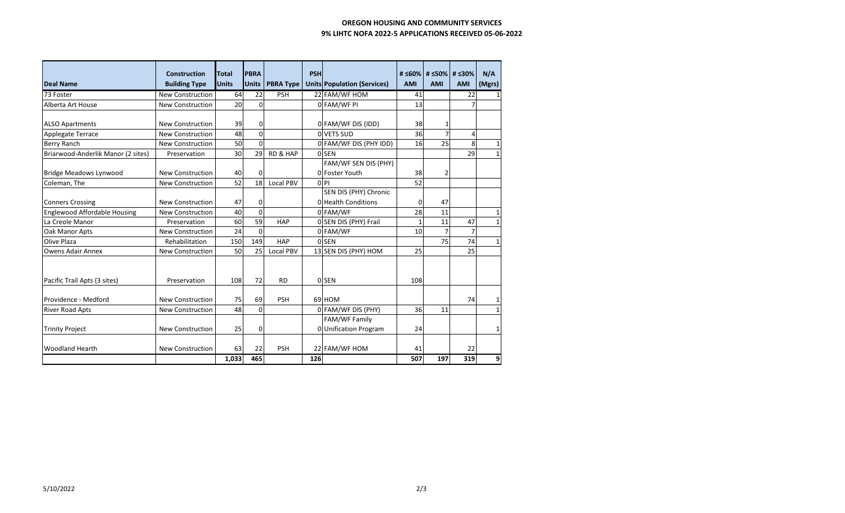## **OREGON HOUSING AND COMMUNITY SERVICES 9% LIHTC NOFA 2022-5 APPLICATIONS RECEIVED 05-06-2022**

| <b>Deal Name</b>                                  | <b>Construction</b><br><b>Building Type</b> | <b>Total</b><br><b>Units</b> | <b>PBRA</b><br><b>Units</b> | <b>PBRA Type</b>    | <b>PSH</b> | <b>Units Population (Services)</b>     | <b>AMI</b>      | # ≤60% # ≤50% # ≤30%<br><b>AMI</b> | <b>AMI</b>     | N/A<br>(Mgrs) |
|---------------------------------------------------|---------------------------------------------|------------------------------|-----------------------------|---------------------|------------|----------------------------------------|-----------------|------------------------------------|----------------|---------------|
| 73 Foster                                         | <b>New Construction</b>                     | 64                           | 22                          | <b>PSH</b>          |            | 22 FAM/WF HOM                          | 41              |                                    | 22             | $\mathbf{1}$  |
| Alberta Art House                                 | <b>New Construction</b>                     | 20                           | $\Omega$                    |                     |            | OFAM/WF PI                             | 13              |                                    | $\overline{7}$ |               |
| <b>ALSO Apartments</b>                            | <b>New Construction</b>                     | 39                           | $\Omega$                    |                     |            | 0 FAM/WF DIS (IDD)                     | 38              | 1                                  |                |               |
| <b>Applegate Terrace</b>                          | <b>New Construction</b>                     | 48                           | $\Omega$                    |                     |            | O VETS SUD                             | 36              | $\overline{7}$                     | 4              |               |
| Berry Ranch                                       | <b>New Construction</b>                     | 50                           | $\Omega$                    |                     |            | 0 FAM/WF DIS (PHY IDD)                 | 16              | 25                                 | 8              | $\mathbf 1$   |
| Briarwood-Anderlik Manor (2 sites)                | Preservation                                | 30                           | 29                          | <b>RD &amp; HAP</b> |            | 0 SEN                                  |                 |                                    | 29             | $\mathbf{1}$  |
| <b>Bridge Meadows Lynwood</b>                     | <b>New Construction</b>                     | 40                           | $\Omega$                    |                     |            | FAM/WF SEN DIS (PHY)<br>O Foster Youth | 38              | 2                                  |                |               |
| Coleman, The                                      | <b>New Construction</b>                     | 52                           | 18                          | <b>Local PBV</b>    |            | 0 P                                    | $\overline{52}$ |                                    |                |               |
|                                                   |                                             |                              |                             |                     |            | SEN DIS (PHY) Chronic                  |                 |                                    |                |               |
| <b>Conners Crossing</b>                           | <b>New Construction</b>                     | 47                           | 0                           |                     |            | 0 Health Conditions                    | 0               | 47                                 |                |               |
| <b>Englewood Affordable Housing</b>               | New Construction                            | 40                           | $\Omega$                    |                     |            | 0 FAM/WF                               | 28              | 11                                 |                | 1             |
| La Creole Manor                                   | Preservation                                | 60                           | 59                          | HAP                 |            | 0 SEN DIS (PHY) Frail                  | $\mathbf{1}$    | 11                                 | 47             | $\mathbf{1}$  |
| Oak Manor Apts                                    | <b>New Construction</b>                     | 24                           | $\Omega$                    |                     |            | 0 FAM/WF                               | 10              | $\overline{7}$                     | 7              |               |
| Olive Plaza                                       | Rehabilitation                              | 150                          | 149                         | HAP                 |            | 0 SEN                                  |                 | 75                                 | 74             | 1             |
| <b>Owens Adair Annex</b>                          | <b>New Construction</b>                     | 50                           | 25                          | Local PBV           |            | 13 SEN DIS (PHY) HOM                   | 25              |                                    | 25             |               |
| Pacific Trail Apts (3 sites)                      | Preservation                                | 108                          | 72                          | <b>RD</b>           |            | 0 SEN                                  | 108             |                                    |                |               |
| Providence - Medford                              | <b>New Construction</b>                     | 75                           | 69                          | <b>PSH</b>          |            | 69 HOM                                 |                 |                                    | 74             | 1             |
| <b>River Road Apts</b>                            | <b>New Construction</b>                     | 48                           | $\Omega$                    |                     |            | 0 FAM/WF DIS (PHY)                     | 36              | 11                                 |                | $\mathbf{1}$  |
| <b>New Construction</b><br><b>Trinity Project</b> |                                             | 25                           | $\mathbf{0}$                |                     |            | FAM/WF Family<br>0 Unification Program | 24              |                                    |                | $\mathbf{1}$  |
| <b>Woodland Hearth</b>                            | <b>New Construction</b>                     | 63<br>1,033                  | 22<br>465                   | <b>PSH</b>          | 126        | 22 FAM/WF HOM                          | 41<br>507       | 197                                | 22<br>319      | 9             |